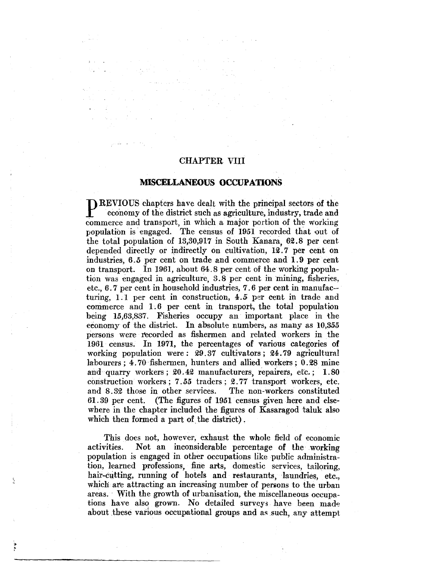# CHAPTER V1II

# **MISCELLANEOUS OCCUPATIONS**

PREVIOUS chapters have dealt with the principal sectors of the economy of the district such as agriculture, industry, trade and commerce and transport, in which a major portion of the working population is engaged. The census of 1951 recorded that out of the total population of  $13,30,917$  in South Kanara, 62.8 per cent depended directly or indirectly on cultivation, 12.7 per cent on industries, *6.5* per cent on trade and commerce and 1.9 per cent on transport. In 1961, about 64.8 per cent of the working population was engaged in agriculture,  $3.8$  per cent in mining, fisheries, etc., 6. 7 per cent in household industries, 7. 6 per cent in manufac- turing, 1.1 per cent in construction, 4.5 per cent in trade and commerce and 1. 6 per cent in transport, the total population being 15,63,837. Fisheries occupy an important place in the economy of the district. In absolute numbers, as many as  $10,355$ persons were recorded as fishermen and related workers in the 1961 census. In 1971, the percentages of various categories of working population were :  $29.37$  cultivators ;  $24.79$  agricultural labourers; 4.70 fishermen, hunters and allied workers; 0.28 mine and quarry workers;  $20.42$  manufacturers, repairers, etc.;  $1.80$ construction workers; 7.55 traders; 2.77 transport workers, etc. and 8.32 those in other services. The non-workers constituted 61. 39 per cent. (The figures of 1951 eensus given here and elsewhere in the chapter included the figures of Kasaragod taluk also which then formed a part of the district).

This does not, however, exhaust the whole field of economic activities. Not an inconsiderable percentage of the working population is engaged in other occupations like public administration, learned professions, fine arts, domestic services, tailoring, hair-cutting, running of hotels and restaurants, laundries, etc., which are attracting an increasing number of persons to the urban areas. With the growth of urbanisation, the miscellaneous occupations have also grown. No detailed surveys have been made about these various occupational groups and as such, any attempt

 $\sum_{i=1}^{n}$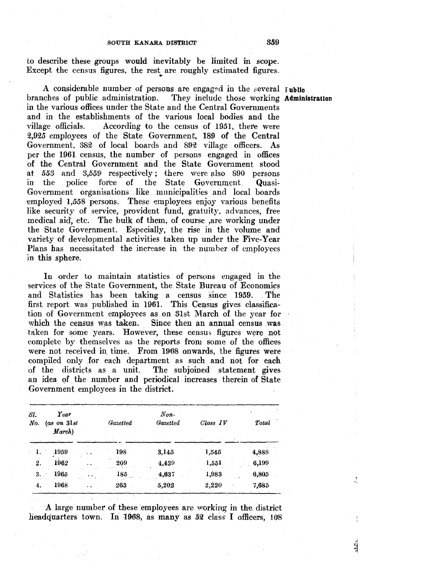to describe these groups would inevitably be limited in scope. Except the census figures, the rest are roughly estimated figures.<br>A considerable number of persons are engaged in the several I ublie

branches of public administration. They include those working **Administration**  in the various offices under the State and the Central Governments and in the establishments of the various local bodies and the village officials. According to the census of 1951, there were 2,925 employees of the State Government, 189 of the Central Government, 382 of local boards and 892 village officers. As per the 1961 census, the number of persons engaged in offices of the Central Government and the State Government stood at *553* and *3',55.9'* respectively; there were also 890 persons in the police force of the State Government. Quasi-Government organisations like municipalities and local boards employed 1,558 persons. These employees enjoy various benefits like security of service, provident fund, gratuity, advances, free medical aid', etc. The bulk of them, of course ,are working under the State Government. Especially, the rise in the volume and variety of developmental activities taken up under the Five-Year Plans has necessitated the increase in the number of employees in this sphere.

In order to maintain statistics of persons engaged in the services of the State Government, the State Bureau of Economics and Statistics has been taking a census since 1959. The first report was published in 1961. This Census gives classification of Government employees as on 31st March of the year for which the census was taken. Since then an annual census was taken for some years. However, these census figures were not complete by themselves as the reports from some of the offices were not received in, time. From 1968 onwards, the figures were compiled only for each department as such and not for each of the districts as a unit. The subjoined statement gives The subjoined statement gives an idea of the number and periodical increases therein of State Government employees in the district.

| SI.<br>No.                  | Year<br>$(as \, on \, 31st$<br>March) |        | Gazetted | $Non-$<br><b>Gazetted</b> | Class IV | Total |
|-----------------------------|---------------------------------------|--------|----------|---------------------------|----------|-------|
| $\mathbb{C}^{\mathbf{1}}$ . | -1959                                 |        | 198      | 3,145                     | 1,545    | 4,888 |
| 2.                          | 1962                                  |        | 209      | 4,439                     | 1,551    | 6,199 |
| 3.                          | 1965                                  |        | 185      | 4.637                     | 1,983    | 6,805 |
| 4.                          | 1968                                  | $\sim$ | 263      | 5,202                     | 2,220    | 7.685 |

A large number of these employees are working in the district headquarters town. In 1968, as many as  $52$  class I officers,  $108$ 

اند.<br>ا

Ĵ.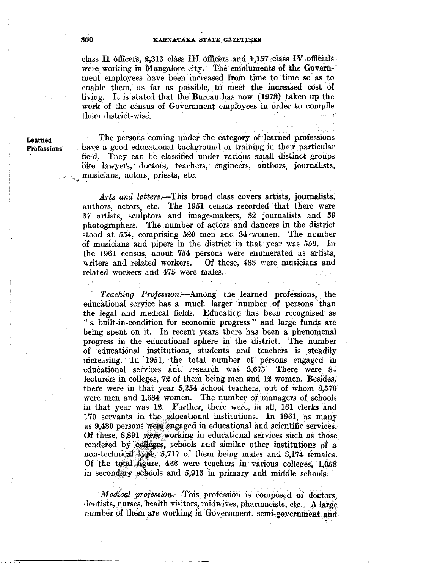class II officers,  $2,313$  class III officers and 1,157 class IV officials were working in Mangalore city. The emoluments of the Government employees have been increased from time to time so- as to enable them, as far as possible, to meet the increased cost of living. It is stated that the Bureau has now (1973) taken up the work of the census of Government employees in order to compile them district-wise.

Learned **Professions** 

The persons coming under the category of learned professions have a good educational background or training in their particular field. They can be classified under various small distinct groups like lawyer's, doctors, teachers, engineers, authors, journalists, , musicians, actors, priests, etc.

*A.rts and letters.-This* broad class covers artists, journalists, authors, actors, etc. The 1951 census recorded that there were 37 artists, sculptors and image-makers, · 32 journalists and *59*  photographers. The number of actors and dancers in the district stood at 554, comprising 520 men and 34 women. The number of musicians and pipers in the district in that year was *559.* .In the 1961 census, about 754 persons were enumerated as artists, writers and related workers. Of these, 483 were musicians and related workers and 475 were males.

- *Teaching Profession.-Among* the learned professions, the educational service has a much larger number of persons than the legal and medical fields. Education has been recognised as ·• a built-in-condition for economic progress " and large funds are being spent on it. In recent years there has been a phenomenal progress in the educational sphere in the district. The number of educational institutions, students and teachers is steadily increasing. In 1951, the total number of persons engaged in educational services and research was 3,675. There were 84 lecturers in colleges, 72 of them being men and 12 women. Besides, there were in that year  $5,254$  school teachers, out of whom  $3,570$ were men and  $1,684$  women. The number of managers of schools in that year was 12. Further, there were, in all, 161 clerks and 170 servants in the educational institutions. In 1961, as many as 9,480 persons were engaged in educational and scientific services. Of these, 8,891 were working in educational services such as those rendered by colleges, schools and similar other institutions of a non-technical type,  $5,717$  of them being males and  $3,174$  females. Of the total figure, 422 were teachers in various colleges, 1,058 in secondary schools and 5,913 in primary and middle schools.

*Medical profession.*-This profession is composed of doctors, dentists, nurses, health visitors, midwives, pharmacists, etc. A large number of them are working in Government, semi-government and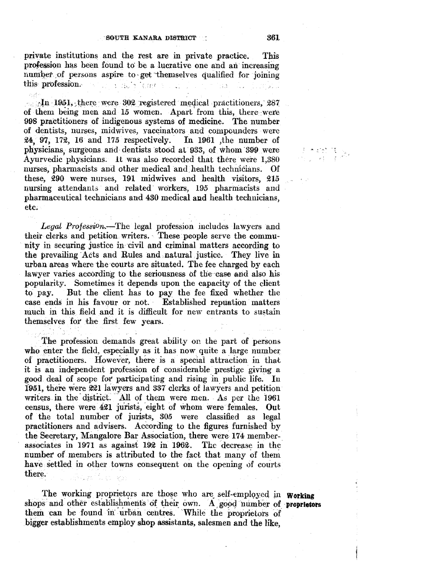private institutions and the rest are in private practice. This profession has been found to be a lucrative one and an increasing number of persons aspire to get themselves qualified for joining this profession. this profession. : ; a Sir 

the left left left left is there were  $102$  registered medical practitioners, 287 of them being men and 15 women. Apart from this, there were 998 practitioners of indigenous systems of medicine. The number of dentists, nurses, midwives, vaccinators . and compounders were 24, 97, 172, 16 and 175 respectively. In 1961 ,the number of physicians, surgeons and dentists stood at 933, of whom 399 were Ayurvedic physicians. 1t was also recorded that there were 1,380 nurses, pharmacists and other medical and. health technicians. Of these, 290 were nurses, 191 midwives and health visitors, 215 nursing attendants and related workers, 195 pharmacists and pharmaceutical technicians and 430 medical and health technicians, etc;

Legal Profession.-The legal profession includes lawyers and their clerks and petition writers. These people serve the commu-. nity in securing justice in civil and criminal matters according to the prevailing Acts and Rules and natural justice. They live in urban areas where the courts are situated. The fee charged by each lawyer varies according to the seriousness of the case and also his popularity. Sometimes it depends upon the capacity of the client to pay. But the client has to pay the fee fixed whether the case ends in his favour or not. Established repuation matters much in this field and it is difficult for new entrants to sustain themselves for the first few years.

The profession demands great ability on the part of persons who enter the field, especially as it has now quite a large number of practitioners. However, there is a special attraction in that it is an independent profession of considerable prestige giving a good deal of scope for participating and rising in public life. In 1951, there were 221 lawyers and 337 clerks of lawyers and petition writers in the district. All of them were men. As per the 1961 census, there were 421 jurists, eight of whom were females. Out of the total number of jurists, 305 were classified as legal practitioners and advisers. According to the figures furnished by the Secretary, Mangalore Bar Association, there were 174 memberassociates in  $1971$  as against  $192$  in  $1962$ . The decrease in the number of members is attributed to the fact that many of them have settled in other towns consequent on the opening of courts there.

The working proprietors are those who are self-employed in **Working** shops and other establishments of their own. A good number of **proprietors** them can be found in urban centres. While the proprietors of bigger establishments employ shop assistants, salesmen and the like,

一天大的 医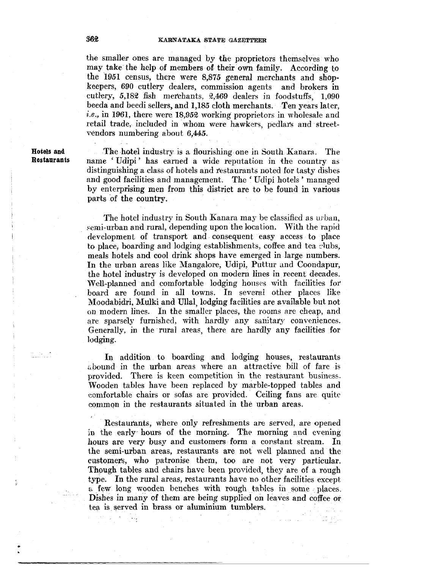the smaller ones are managed by the proprietors themselves who may take the help of members of their own family. According to the 1951 census, there were 8,875 general merchants and shopkeepers, 690 cutlery dealers, commission agents and brokers in cutlery,  $5,182$  fish merchants,  $2,469$  dealers in foodstuffs,  $1,090$ beeda and beedi sellers, and 1,185 cloth merchants. Ten years later, *i.e.*, in 1961, there were 18,952 working proprietors in wholesale and retail trade, included in whom were hawkers, pedlars and streetvendors numbering about 6,445.

**Hotels and Restaurants** 

The hotel industry is a flourishing one in South Kanara. The name 'Udipi' has earned a wide reputation in the country as distinguishing a class of hotels and restaurants noted for tasty dishes and good facilities and management. The 'Udipi hotels' managed by enterprising men from this district are to be found in various parts of the country.

The hotel industry in South Kanara may be classified as urban, semi-urban and rural, depending upon the location. With the rapid development of transport and consequent easy access to place to place, boarding and lodging establishments, coffee and tea clubs, meals hotels and cool drink shops have emerged in large numbers. In the urban areas like Mangalore, Udipi, Puttur and Coondapur, the hotel industry is developed on modern lines in recent decades. Well-planned and comfortable lodging houses with facilities for board are found in all towns. In severai other places like Moodabidri, Mulki and Ullal, lodging faeilities are available but not on modern lines. In the smaller places, the rooms are cheap, and are sparsely furnished, with hardly any sanitary conveniences. Generally, in the rural areas, there are hardly any facilities for lodging.

In addition to boarding and lodging houses, restaurants abound in the urban areas where an attractive bill of fare is provided. There is keen competition in the restaurant business. Wooden tables have been replaced by marble-topped tables and comfortable chairs or sofas are provided. Ceiling fans are quite common in the restaurants situated in the urban areas.

Restaurants, where only refreshments are served, are opened in the early hours of the morning. The morning and evening hours are very busy and customers form a constant stream. In the semi-urban areas, restaurants are not well planned and the customers, who patronise them, too are not very particular. Though tables and chairs have been provided, they are of a rough type. In the rural areas, restaurants have no other facilities except a few long wooden benches with rough tables in some places. Dishes in many of them are being supplied on leaves and coffee or tea is. served in brass or aluminium tumblers.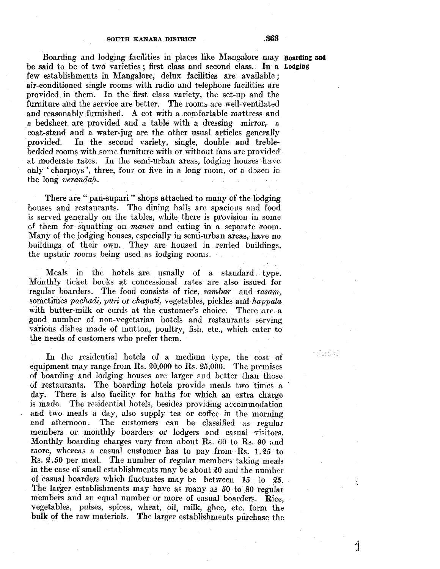Boarding and lodging facilities in places like Mangalore may **Boarding and** be said to be of two varieties; first class and second class. In a Lodging few establishments in Mangalore, delux facilities are available; air-conditioned single rooms with radio and telephone facilities are provided in them. In the first class variety, the set-up and the furniture and the service are better. The rooms are well-ventilated and reasonably furnished. A oot with a comfortable mattress and a bedsheet are provided and a table with a dressing ;mirror, a coat-stand and a water-jug are the other usual artieles generally provided. In the second variety, single, double and treblebedded rooms with some furniture with or without fans are provided at moderate rates. In the semi-urban areas, lodging houses have only 'charpoys', three, four or five in a long room, or a dozen in the long *verandah*.

There are " pan-supari " shops attached to many of the lodging houses and restaurants. The dining halls are spacious and food is served generally on the tables, while there is provision in some of them for squatting on *manes* and eating in a separate room. Many of the lodging houses, especially in semi-urban areas, have no buildings of their own. They are housed in rented buildings, the upstair rooms being used as lodging rooms.

Meals in the hotels are usually of a standard type. Monthly ticket books at concessional rates are also issued for regular boarders. The food consists of rice, *sambar* and *rasam,*  sometimes *pachadi, puri* or *chapati*, vegetables, pickles and *happata* with butter-milk or curds at the customer's choice. There are a good number of non-vegetarian hotels and restaurants serving various dishes made of mutton, poultry, fish, etc., which cater to the needs of customers who prefer them.

In the residential hotels of a medium type, the cost of equipment may range from Rs.  $20,000$  to Rs.  $25,000$ . The premises of boarding and lodging houses are larger and better than those of restaurants. The boarding hotels provide meals two times a day. There is also facility for baths for which an extra charge is made. The residential hotels, besides providing accommodation and two meals a day, also supply tea or coffee in the morning and afternoon. The customers can be classified as regular members or monthly boarders or lodgers and casual visitors. Monthly boarding charges vary from about Rs. 60 to Rs. 90 and more, whereas a casual customer has to pay from Rs.  $1.25$  to Rs. 2.50 per meal. The number of regular members taking meals in the case of small establishments may be about 20 and the number of casual boarders which fluctuates may be between 15 to 25. The larger establishments may have as many as 50 to 80 regular members and an equal number or more of casual boarders. Rice, vegetables, pulses, spices, wheat, oil, milk, ghee, ete. form the bulk of the raw materials. The larger establishments purchase the

 $\int_0^4$ 

asteknat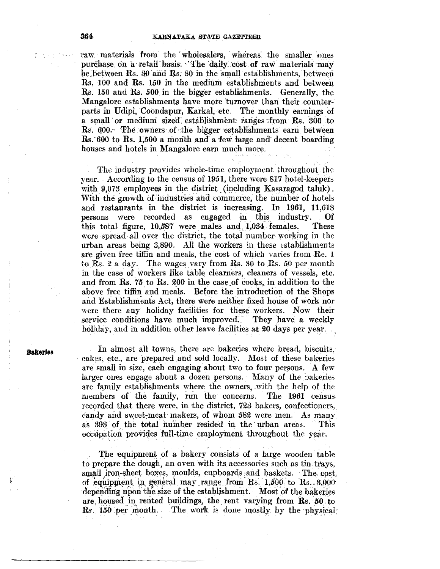raw materials from the wholesalers, whereas the smaller ones purchase on a retail basis. The daily cost of raw materials may be between Rs. 30 and Rs. 80 in the small establishments, between Rs. 100 and Rs. 150 in the medium establishments and between Rs. 150 and Rs. 500 in the bigger establishments. Generally, the Mangalore establishments have more turnover than their counterparts in Udipi, Coondapur, Karkal, etc. The monthly earnings of a small or medium sized establishment ranges from Rs. 300 to Rs. 600. The owners of the bigger establishments earn between Rs. 600 to Rs. 1,500 a month and a few large and decent boarding houses and hotels in Mangalore earn much more.

The industry provides whole-time employment throughout the year. According to the census of 1951, there were 817 hotel-keepers with 9,073 employees in the district (including Kasaragod taluk). With the growth of industries and commerce, the number of hotels and restaurants in the district is increasing. In 1961, 11,618 persons were recorded as engaged in this industry. Of this total figure,  $10,587$  were males and  $1,034$  females. **These** were spread all over the district, the total number working in the urban areas being 3,890. All the workers in these establishments are given free tiffin and meals, the cost of which varies from Re. 1 to Rs. 2 a day. The wages vary from Rs. 30 to Rs. 50 per month in the case of workers like table clearners, cleaners of vessels, etc. and from Rs. 75 to Rs. 200 in the case of cooks, in addition to the above free tiffin and meals. Before the introduction of the Shops and Establishments Act, there were neither fixed house of work nor were there any holiday facilities for these workers. Now their service conditions have much improved. They have a weekly holiday, and in addition other leave facilities at 20 days per year.

**Bakeries** 

In almost all towns, there are bakeries where bread, biscuits. cakes, etc., are prepared and sold locally. Most of these bakeries are small in size, each engaging about two to four persons. A few larger ones engage about a dozen persons. Many of the bakeries are family establishments where the owners, with the help of the members of the family, run the concerns. The 1961 census recorded that there were, in the district, 723 bakers, confectioners, candy and sweet-meat makers, of whom 582 were men. As many as 393 of the total number resided in the urban areas. This eccupation provides full-time employment throughout the year.

The equipment of a bakery consists of a large wooden table to prepare the dough, an oven with its accessories such as tin travs. small iron-sheet boxes, moulds, cupboards and baskets. The cost. of equipment in general may range from Rs. 1,500 to Rs. 3,000 depending upon the size of the establishment. Most of the bakeries are housed in rented buildings, the rent varying from Rs. 50 to  $\mathbf{\hat{R}}s$ . 150 per month. The work is done mostly by the physical

364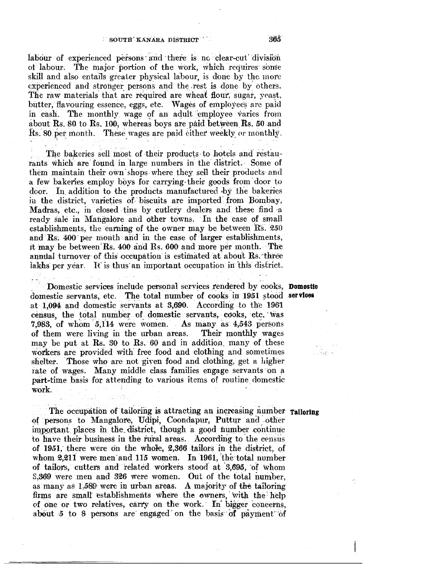#### SOUTH KANARA DISTRICT

labour of experienced persons and there is no clear-cut division of labour. The major portion of the work, which requires some skill and also entails greater physical labour, is done by the more experienced and stronger persons and the rest is done by others. The raw materials that are required are wheat flour, sugar, yeast, butter, flavouring essence, eggs, etc. Wages of employees are paid in cash. The monthly wage of an adult employee varies from about Rs. 80 to Rs. 100, whereas boys are paid between Rs. 50 and Rs. 80 per month. These wages are paid either weekly or monthly.

The bakeries sell most of their products to hotels and restaurants which are found in large numbers in the district. Some of them maintain their own shops where they sell their products and a few bakeries employ boys for carrying their goods from door to door. In addition to the products manufactured by the bakeries in the district, varieties of biscuits are imported from Bombay, Madras, etc., in closed tins by cutlery dealers and these find a ready sale in Mangalore and other towns. In the case of small establishments, the earning of the owner may be between Rs. 250 and Rs. 400 per month and in the case of larger establishments, it may be between Rs. 400 and Rs. 600 and more per month. The annual turnover of this occupation is estimated at about Rs. three lakhs per year. It is thus an important occupation in this district.

Domestic services include personal services rendered by cooks, Domostic domestic servants, etc. The total number of cooks in 1951 stood services at 1,094 and domestic servants at 3,690. According to the 1961 census, the total number of domestic servants, cooks, etc. was 7,983, of whom 5,114 were women. As many as 4,543 persons Their monthly wages of them were living in the urban areas. may be put at Rs. 30 to Rs. 60 and in addition, many of these workers are provided with free food and clothing and sometimes shelter. Those who are not given food and clothing, get a higher rate of wages. Many middle class families engage servants on a part-time basis for attending to various items of routine domestic work.

The occupation of tailoring is attracting an increasing number railoring of persons to Mangalore, Udipi, Coondapur, Puttur and other important places in the district, though a good number continue to have their business in the rural areas. According to the census of 1951, there were on the whole, 2,366 tailors in the district, of whom 2,211 were men and 115 women. In 1961, the total number of tailors, cutters and related workers stood at 3,695, of whom 3,369 were men and 326 were women. Out of the total number. as many as 1,589 were in urban areas. A majority of the tailoring firms are small establishments where the owners, with the help of one or two relatives, carry on the work. In bigger concerns, about 5 to 8 persons are engaged on the basis of payment of

ા જેન્દ્રમાં સ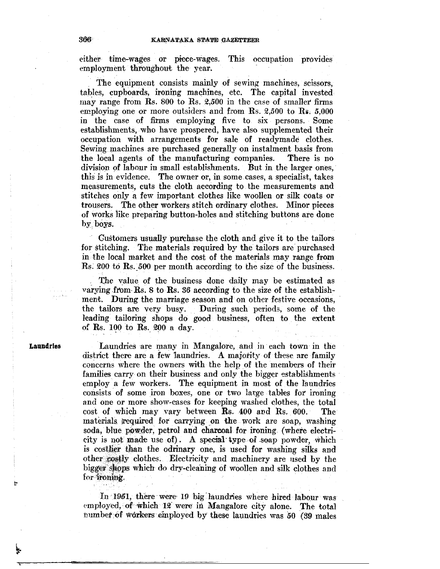either time-wages or piece-wages. This occupation provides employment throughout the year.

The equipment consists mainly of sewing machines, scissors, tables, cupboards, ironing machines, etc. The capital invested may range from Rs. 800 to Rs. 2,500 in the case of smaller firms employing one or more outsiders and from Rs. 2,500 to Rs. 5,000 in the case of firms employing five to six persons. Some establishments, who have prospered, have also supplemented their occupation with arrangements for sale of readymade clothes. Sewing machines are purchased generally on instalment basis from the local agents of the manufacturing companies. There is no division of labour in small establishments. But in the larger ones, this is in evidence. The owner or, in some cases, a specialist, takes measurements, cuts the cloth according to the measurements and stitches only a few important clothes like woollen or silk coats or trousers. The other workers stitch ordinary clothes. Minor pieces of works like preparing button-holes and stitching buttons are done by boys.

Customers usually purchase the cloth and give it to the tailors for stitching. The materials required by the tailors are purchased in the local market and the cost of the materials may range from  $\text{Rs.}$  200 to  $\text{Rs.}$  500 per month according to the size of the business.

The value of the business done daily may be estimated as varying from  $\mathbf{R}s$ . 8 to  $\mathbf{R}s$ . 36 according to the size of the establishment. During the marriage season and on other festive occasions, the tailors are very busy. During such periods, some of the leading tailoring shops do good business, often to the extent of Rs. 100 to Rs. 200 a day.

**Laundries** 

Laundries are many in Mangalore, and in each town in the district there are a few laundries. A majority of these are family concerns where the owners with the help of the members of their families carry on their business and only the bigger establishments employ. a few workers. The equipment in most of the laundries consists of some iron boxes, one or two large tables for ironing and one or more show-cases for keeping washed clothes, the total cost of which may vary between Rs. 400 and Rs. 600. The materials required for carrying on the work are soap, washing soda, blue powder, petrol and charcoal for ironing (where electricity is not made use of). A special type of soap powder, which is costlier than the odrinary one, is used for washing silks and other costly clothes. Electricity and machinery are used by the bigger shops which do dry-cleaning of woollen and silk clothes and for ironing.

In 1951, there were 19 big laundries where hired labour was employed, of which 12 were in Mangalore city alone. The total number of workers employed by these laundries was 50 (39 males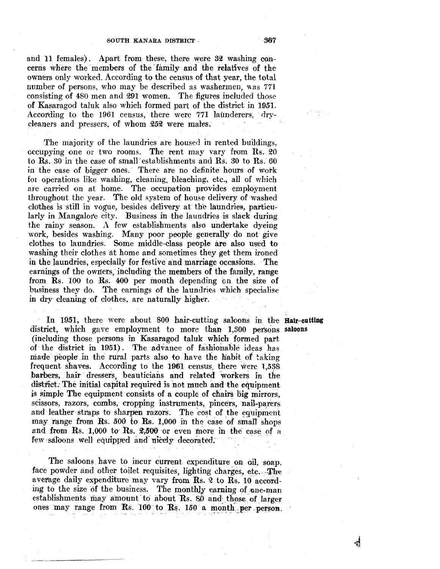and 11 females). Apart from these, there were 32 washing concerns where the members of the family and the relatives of the owners only worked. According to the census of that year, the total number of persons, who may be described as washermen, was 771 consisting of 480 men and 291 women. The figures included those of Kasaragod taluk also which formed part of the district in 1951. According to the 1961 census, there were 771 launderers, drycleaners and pressers, of whom 252 were males.

The majority of the laundries are housed in rented buildings,  $occupying one or two rooms.$  The rent may vary from Rs.  $20$ to  $\hat{R}s$ .  $30$  in the case of small establishments and  $\hat{R}s$ .  $30$  to  $\hat{R}s$ .  $60$ in the case of bigger ones. There are no definite hours of work for operations like washing, cleaning, bleaching, etc., all of which are carried on at home. The occupation provides employment throughout the year. The old system of house delivery of washed clothes is still in vogue, besides delivery at th'e laundries, particularly in Mangalore city. Business in the laundries is slack during the rainy season. A few establishments also undertake dyeing work, besides washing. Many poor people generally do not give clothes to laundries. Some middle-class people are also used to washing their clothes at home and sometimes they get them ironed in the laundries, especially for festive and marriage occasions. The earnings of the owners, including the members of the family, range from Rs. 100 to Rs. 400 per month depending on the size of business they do. The earnings of the laundries which specialise in dry cleaning of clothes, are naturally higher.

In 1951, there were about 800 hair-cutting saloons in the Hair-cutting district, which gave employment to more than 1,300 persons saloons (including those persons in Kasaragod taluk which formed part of the district in 1951). The advance of fashionable ideas has made people in the rural parts also to have the habit of taking frequent shaves. According to the 1961 census, there were 1,538 barbers, hair dressers, beauticians and related workers in the district. The initial capital required is not much and the equipment is simple The equipment consists of a couple of chairs big mirrors, scissors, razors, combs, cropping instruments, pincers, nail-parers and leather straps to sharpen razors. The cost of the equipment may range from Rs. *500* to Rs. 1,000 in the case of small shops and from Rs. 1,000 to Rs.  $2,500$  or even more in the case of a few saloons well equipped and nicely decorated.

The saloons have to incur current expenditure on oil, soap, face powder and other toilet requisites, lighting charges, etc. The average daily expenditure may vary from Rs. 2 to Rs. 10 according to the size of the business. The monthly earning of one-man establishments may amount to about Rs.  $\delta\hat{\theta}$  and those of larger ones may range from Rs. 100 to Rs. 150 a month per person.

En Arabi

h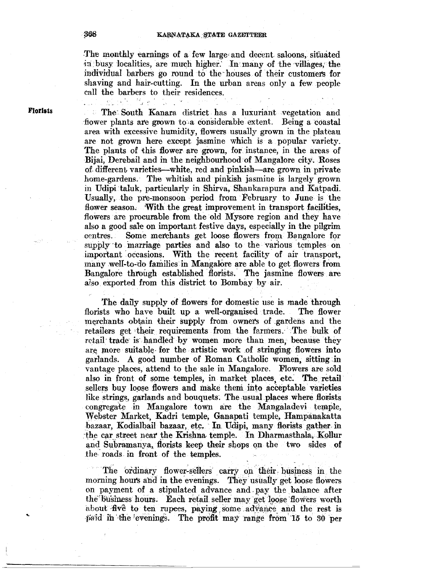The monthly earnings of a few large and decent saloons, situated in busy localities, are much higher. In many of the villages, the individual barbers go round to the· houses of their customets for shaving and hair-cutting. In the urban areas only a few people call the barbers to their residences.

**Florlats** 

The· South Kanara district has a luxuriant vegetation and  $\mathfrak{X}^+_{\mathfrak{X}}$ flower plants are grown to a considerable extent. Being a coastal area with excessive humidity, flowers usually grown in the plateau are not grown here except jasmine which is a popular variety. The plants of this flower are grown, for instance, in the areas of Bijai, Derebail and in the neighbourhood of Mangalore city. Roses of different varieties-white, red and pinkish-are grown in private home-gardens. The whitish and pinkish jasmine is largely grown in Udipi ·taluk, particularly in Shirva, Shankarapura and Katpadi. Usually, the pre-monsoon period from February to June is the flower season. With the great improvement in transport facilities, flowers are procurable from the old Mysore region and they have also a good sale on important festive days, especially in the pilgrim centres. Some merchants get loose flowers from Bangalore for supply to marriage parties and also to the various temples on important occasions. With the recent facility of air transport, many well-to-do families in Mangalore are able to get flowers from Bangalore through established florists. The jasmine flowers are also exported from this district to Bombay by air.

The daily supply of flowers for domestic use is made through florists who have built up a well-organised trade. The flower merchants obtain their supply from owners of gardens and the retailers get their requirements from the farmers. The bulk of retail trade is handled by women more than men, because they are more suitable for the artistic work of stringing flowers into garlands. A good number of Roman Catholic women, sitting in vantage places, attend to the sale in Mangalore. Flowers are sold also in front of some temples, in market places, etc. The retail sellers buy loose flowers and make them into acceptable varieties like strings, garlands and bouquets. The usual places where florists congregate in Mangalore town are the Mangaladevi temple, Webster Market, Kadri temple, Ganapati temple, Hampanakatta bazaar, Kodialbail bazaar, etc. In Udipi, many florists gather in the car street near the Krishna- temple. In Dharmasthala, Kollur and Subramanya, florists keep their shops on the two sides of the roads in front of the temples.

The ordinary flower-sellers carry on their business in the morning hours and in the evenings. They usually get loose flowers on payment of a stipulated advance and pay the balance after the business hours. Each retail seller may get loose flowers worth about five to ten rupees, paying some advance and the rest is paid in the evenings. The profit may range from 15 to 30 per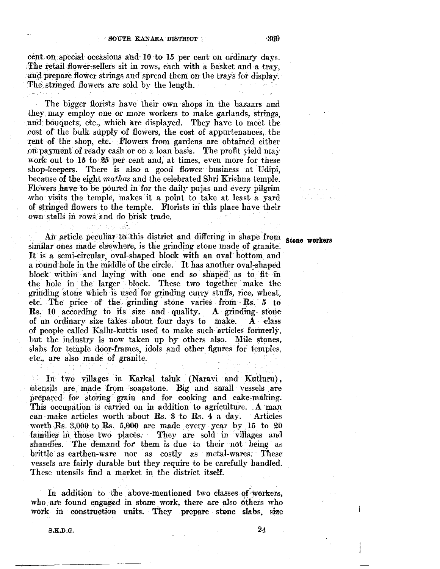cent on special occasions and  $10$  to 15 per cent on ordinary days. The retail-flower-sellers sit in rows, each with a basket and a tray, and prepare flower strings and spread them on the trays for display. The stringed flowers are sold by the length.

The bigger florists have their own shops in the bazaars and they may employ one or more workers to make garlands, strings, and bouquets, etc., which are displayed. They have to meet the cost of the bulk supply of flowers, the cost of appurtenances, the rent of the shop, etc. Flowers from gardens are obtained either off payment of ready cash or on a loan basis. The profit yield may work out to 15 to 25 per cent and, at times, even more for these shop-keepers. There is also a good flower business at Udipi, because of the eight *mathas* and the celebrated Shri Krishna temple. Flowers have to be poured in for the daily pujas and every pilgrim who visits the temple, makes it a point to take at least a yard of stringed flowers to the temple. Florists in this place have their own stalls in rows and do brisk trade.

An article peculiar to this district and differing in shape from stone workers similar ones made elsewhere, is the grinding stone made of granite. It is a semi-circular, oval~shaped block with an oval bottom and a round hole in the middle of the circle. It has another oval-shaped block within and laying with one end so shaped as to fit in the hole in the larger block. These two together make the grinding stone which is used for grinding curry stuffs, rice, wheat, etc. The price of the grinding stone varies from Rs. 5 to Rs. 10 according to its size and quality.  $A$  grinding stone of an ordinary size takes about four days to make. A class of people called Kallu-kuttis used to make such- articles formerly, but the industry is now taken up by others also. Mile stones, slabs for temple door-frames, idols and other figures for temples, etc,, are also made of granite.

In two villages in Karkal taluk (Naravi and Kutluru), utensils are made from soapstone. Big and small vessels are prepared for storing grain and for cooking and cake-making. This occupation is carried on in addition to agriculture. A man can make articles worth about Rs.  $3$  to Rs.  $4$  a day. Articles worth Rs. 3,000 to Rs. 5,000 are made every year by  $15$  to  $20$ families in those two places. They are sold in villages and shandies. The demand for them is due to their not being as brittle as earthen-ware nor as costly as metal-wares. These vessels are fairly durable but they require to he carefully handled. These utensils find a market in the district itself.

In addition to the above-mentioned two classes of workers, who are found engaged in stone work, there are also others who work in construction units. They prepare stone slabs, size

a shekarar 20<br>Bana katika

S.K.D.G. *24*